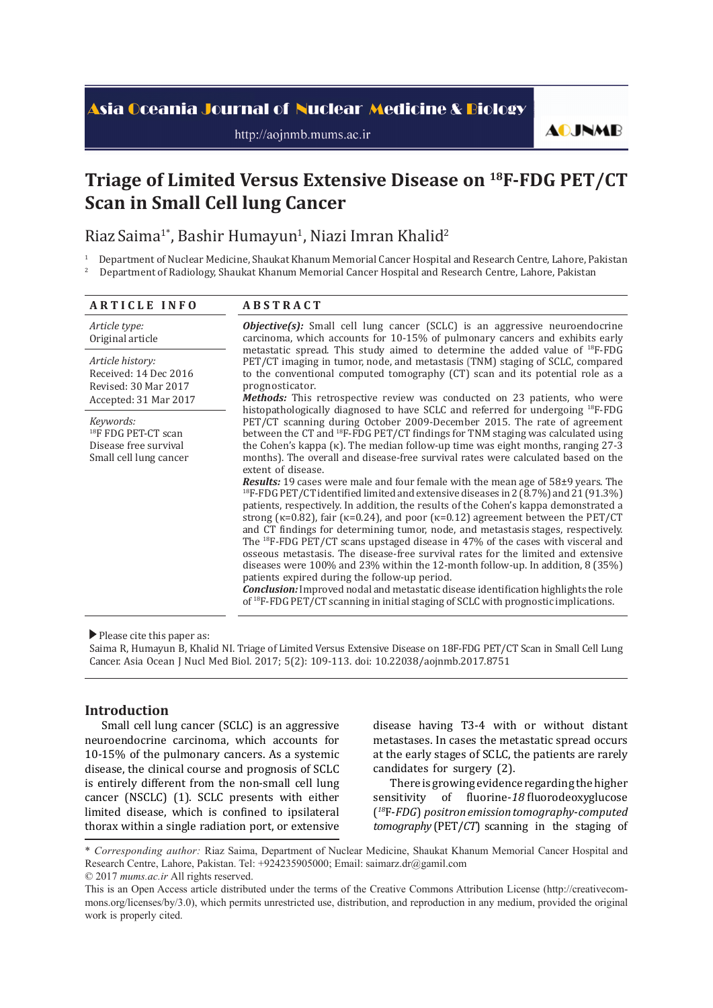# <mark>Asia Oceania Journal of Nuclear Medicine & Biology</mark>

http://aojnmb.mums.ac.ir

**AOJNMB** 

# **Triage of Limited Versus Extensive Disease on 18F-FDG PET/CT Scan in Small Cell lung Cancer**

Riaz Saima<sup>1</sup>\*, Bashir Humayun<sup>1</sup>, Niazi Imran Khalid<sup>2</sup>

1 Department of Nuclear Medicine, Shaukat Khanum Memorial Cancer Hospital and Research Centre, Lahore, Pakistan 2 Department of Radiology, Shaukat Khanum Memorial Cancer Hospital and Research Centre, Lahore, Pakistan

| <b>ARTICLE INFO</b>                                                                             | <b>ABSTRACT</b>                                                                                                                                                                                                                                                                                                                                                                                                                                                                                                                                                                                                                                                                                                                                                                                                                                                                                                                                                                                                                                                                                                                                                                                                                                                                                                                                                                                                                                                                                  |  |  |
|-------------------------------------------------------------------------------------------------|--------------------------------------------------------------------------------------------------------------------------------------------------------------------------------------------------------------------------------------------------------------------------------------------------------------------------------------------------------------------------------------------------------------------------------------------------------------------------------------------------------------------------------------------------------------------------------------------------------------------------------------------------------------------------------------------------------------------------------------------------------------------------------------------------------------------------------------------------------------------------------------------------------------------------------------------------------------------------------------------------------------------------------------------------------------------------------------------------------------------------------------------------------------------------------------------------------------------------------------------------------------------------------------------------------------------------------------------------------------------------------------------------------------------------------------------------------------------------------------------------|--|--|
| Article type:<br>Original article                                                               | <b>Objective(s):</b> Small cell lung cancer (SCLC) is an aggressive neuroendocrine<br>carcinoma, which accounts for 10-15% of pulmonary cancers and exhibits early<br>metastatic spread. This study aimed to determine the added value of <sup>18</sup> F-FDG<br>PET/CT imaging in tumor, node, and metastasis (TNM) staging of SCLC, compared<br>to the conventional computed tomography (CT) scan and its potential role as a<br>prognosticator.<br><b>Methods:</b> This retrospective review was conducted on 23 patients, who were                                                                                                                                                                                                                                                                                                                                                                                                                                                                                                                                                                                                                                                                                                                                                                                                                                                                                                                                                           |  |  |
| Article history:<br>Received: 14 Dec 2016<br>Revised: 30 Mar 2017<br>Accepted: 31 Mar 2017      |                                                                                                                                                                                                                                                                                                                                                                                                                                                                                                                                                                                                                                                                                                                                                                                                                                                                                                                                                                                                                                                                                                                                                                                                                                                                                                                                                                                                                                                                                                  |  |  |
| Keywords:<br><sup>18</sup> F FDG PET-CT scan<br>Disease free survival<br>Small cell lung cancer | histopathologically diagnosed to have SCLC and referred for undergoing <sup>18</sup> F-FDG<br>PET/CT scanning during October 2009-December 2015. The rate of agreement<br>between the CT and <sup>18</sup> F-FDG PET/CT findings for TNM staging was calculated using<br>the Cohen's kappa $(\kappa)$ . The median follow-up time was eight months, ranging 27-3<br>months). The overall and disease-free survival rates were calculated based on the<br>extent of disease.<br><b>Results:</b> 19 cases were male and four female with the mean age of $58\pm9$ years. The<br><sup>18</sup> F-FDG PET/CT identified limited and extensive diseases in 2 (8.7%) and 21 (91.3%)<br>patients, respectively. In addition, the results of the Cohen's kappa demonstrated a<br>strong ( $\kappa$ =0.82), fair ( $\kappa$ =0.24), and poor ( $\kappa$ =0.12) agreement between the PET/CT<br>and CT findings for determining tumor, node, and metastasis stages, respectively.<br>The <sup>18</sup> F-FDG PET/CT scans upstaged disease in 47% of the cases with visceral and<br>osseous metastasis. The disease-free survival rates for the limited and extensive<br>diseases were $100\%$ and $23\%$ within the 12-month follow-up. In addition, 8 (35%)<br>patients expired during the follow-up period.<br><b>Conclusion:</b> Improved nodal and metastatic disease identification highlights the role<br>of $^{18}$ F-FDG PET/CT scanning in initial staging of SCLC with prognostic implications. |  |  |

Please cite this paper as:

Saima R, Humayun B, Khalid NI. Triage of Limited Versus Extensive Disease on 18F-FDG PET/CT Scan in Small Cell Lung Cancer. Asia Ocean J Nucl Med Biol. 2017; 5(2): 109-113. doi: 10.22038/aojnmb.2017.8751

# **Introduction**

Small cell lung cancer (SCLC) is an aggressive neuroendocrine carcinoma, which accounts for 10-15% of the pulmonary cancers. As a systemic disease, the clinical course and prognosis of SCLC is entirely different from the non-small cell lung cancer (NSCLC) (1). SCLC presents with either limited disease, which is confined to ipsilateral thorax within a single radiation port, or extensive disease having T3-4 with or without distant metastases. In cases the metastatic spread occurs at the early stages of SCLC, the patients are rarely candidates for surgery (2).

There is growing evidence regarding the higher sensitivity of fluorine-*18* fluorodeoxyglucose (*<sup>18</sup>*F-*FDG*) *positron emission tomography*-*computed tomography* (PET/*CT*) scanning in the staging of

<sup>\*</sup> *Corresponding author:* Riaz Saima, Department of Nuclear Medicine, Shaukat Khanum Memorial Cancer Hospital and Research Centre, Lahore, Pakistan. Tel: +924235905000; Email: saimarz.dr@gamil.com © 2017 *mums.ac.ir* All rights reserved.

This is an Open Access article distributed under the terms of the Creative Commons Attribution License (http://creativecommons.org/licenses/by/3.0), which permits unrestricted use, distribution, and reproduction in any medium, provided the original work is properly cited.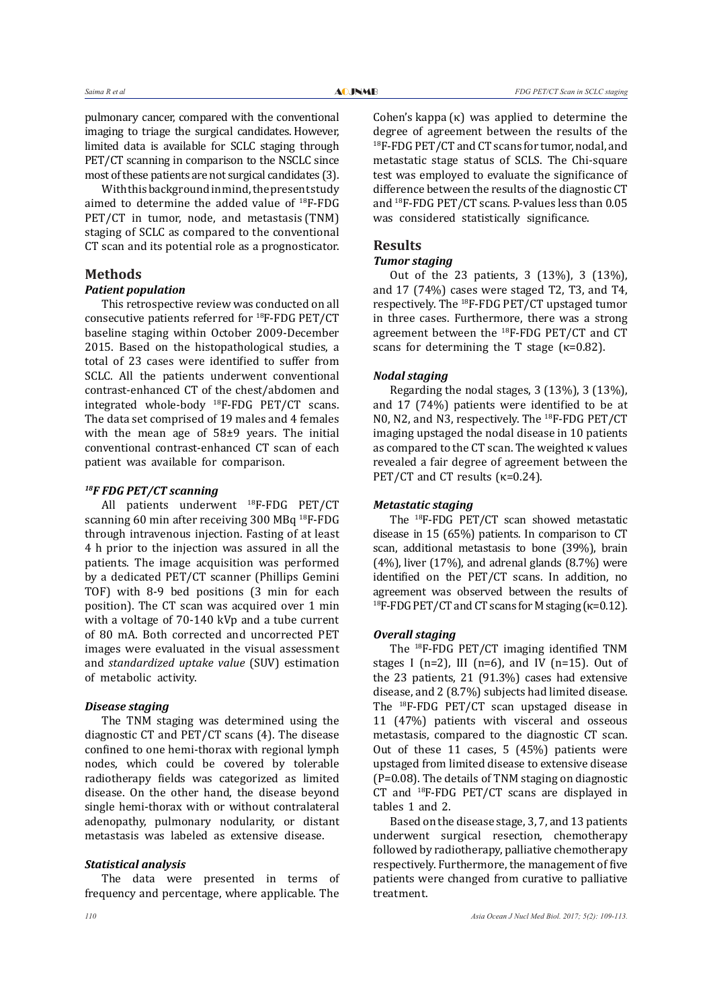pulmonary cancer, compared with the conventional imaging to triage the surgical candidates. However, limited data is available for SCLC staging through PET/CT scanning in comparison to the NSCLC since most of these patients are not surgical candidates (3).

With this background in mind, the present study aimed to determine the added value of 18F-FDG PET/CT in tumor, node, and metastasis (TNM) staging of SCLC as compared to the conventional CT scan and its potential role as a prognosticator.

#### **Methods**

#### *Patient population*

This retrospective review was conducted on all consecutive patients referred for 18F-FDG PET/CT baseline staging within October 2009-December 2015. Based on the histopathological studies, a total of 23 cases were identified to suffer from SCLC. All the patients underwent conventional contrast-enhanced CT of the chest/abdomen and integrated whole-body 18F-FDG PET/CT scans. The data set comprised of 19 males and 4 females with the mean age of 58±9 years. The initial conventional contrast-enhanced CT scan of each patient was available for comparison.

# *18F FDG PET/CT scanning*

All patients underwent 18F-FDG PET/CT scanning 60 min after receiving 300 MBq 18F-FDG through intravenous injection. Fasting of at least 4 h prior to the injection was assured in all the patients. The image acquisition was performed by a dedicated PET/CT scanner (Phillips Gemini TOF) with 8-9 bed positions (3 min for each position). The CT scan was acquired over 1 min with a voltage of 70-140 kVp and a tube current of 80 mA. Both corrected and uncorrected PET images were evaluated in the visual assessment and *standardized uptake value* (SUV) estimation of metabolic activity.

#### *Disease staging*

The TNM staging was determined using the diagnostic CT and PET/CT scans (4). The disease confined to one hemi-thorax with regional lymph nodes, which could be covered by tolerable radiotherapy fields was categorized as limited disease. On the other hand, the disease beyond single hemi-thorax with or without contralateral adenopathy, pulmonary nodularity, or distant metastasis was labeled as extensive disease.

#### *Statistical analysis*

The data were presented in terms of frequency and percentage, where applicable. The

Cohen's kappa (κ) was applied to determine the degree of agreement between the results of the 18F-FDG PET/CT and CT scans for tumor, nodal, and metastatic stage status of SCLS. The Chi-square test was employed to evaluate the significance of difference between the results of the diagnostic CT and 18F-FDG PET/CT scans. P-values less than 0.05 was considered statistically significance.

# **Results**

# *Tumor staging*

Out of the 23 patients, 3 (13%), 3 (13%), and 17 (74%) cases were staged T2, T3, and T4, respectively. The 18F-FDG PET/CT upstaged tumor in three cases. Furthermore, there was a strong agreement between the 18F-FDG PET/CT and CT scans for determining the T stage  $(\kappa=0.82)$ .

#### *Nodal staging*

Regarding the nodal stages, 3 (13%), 3 (13%), and 17 (74%) patients were identified to be at N0, N2, and N3, respectively. The 18F-FDG PET/CT imaging upstaged the nodal disease in 10 patients as compared to the CT scan. The weighted κ values revealed a fair degree of agreement between the PET/CT and CT results  $(\kappa=0.24)$ .

# *Metastatic staging*

The 18F-FDG PET/CT scan showed metastatic disease in 15 (65%) patients. In comparison to CT scan, additional metastasis to bone (39%), brain  $(4%)$ , liver  $(17%)$ , and adrenal glands  $(8.7%)$  were identified on the PET/CT scans. In addition, no agreement was observed between the results of <sup>18</sup>F-FDG PET/CT and CT scans for M staging ( $κ=0.12$ ).

#### *Overall staging*

The <sup>18</sup>F-FDG PET/CT imaging identified TNM stages I (n=2), III (n=6), and IV (n=15). Out of the 23 patients, 21 (91.3%) cases had extensive disease, and 2 (8.7%) subjects had limited disease. The 18F-FDG PET/CT scan upstaged disease in 11 (47%) patients with visceral and osseous metastasis, compared to the diagnostic CT scan. Out of these 11 cases, 5 (45%) patients were upstaged from limited disease to extensive disease (P=0.08). The details of TNM staging on diagnostic CT and 18F-FDG PET/CT scans are displayed in tables 1 and 2.

Based on the disease stage, 3, 7, and 13 patients underwent surgical resection, chemotherapy followed by radiotherapy, palliative chemotherapy respectively. Furthermore, the management of five patients were changed from curative to palliative treatment.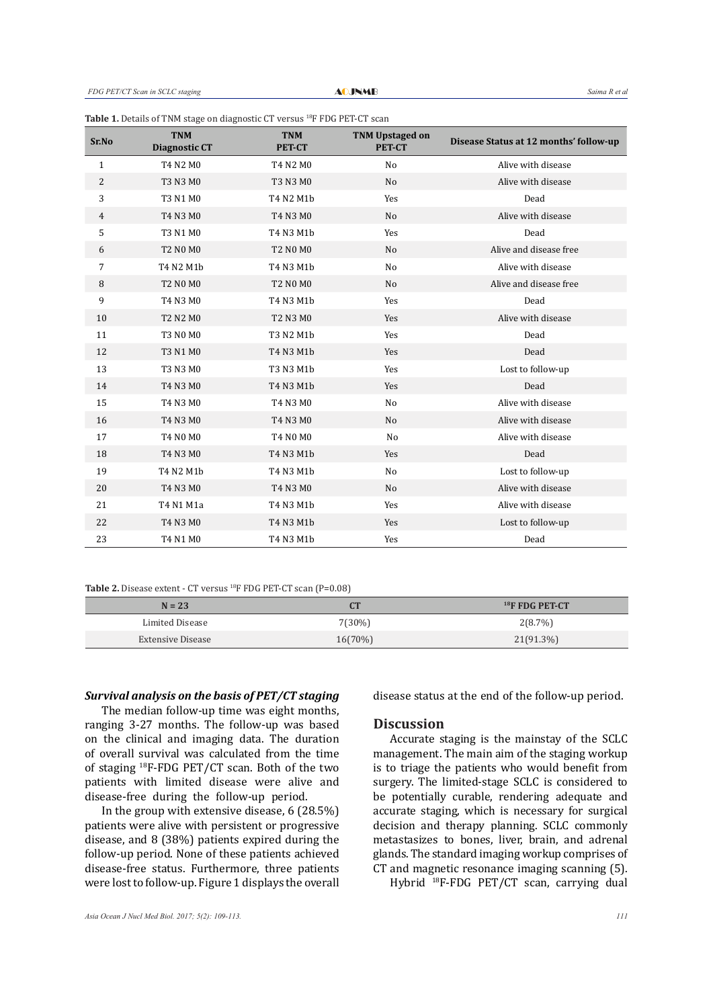| Sr.No          | <b>TNM</b><br><b>Diagnostic CT</b> | <b>TNM</b><br><b>PET-CT</b> | <b>TNM Upstaged on</b><br><b>PET-CT</b> | Disease Status at 12 months' follow-up |
|----------------|------------------------------------|-----------------------------|-----------------------------------------|----------------------------------------|
| $\mathbf{1}$   | T4 N2 M0                           | T4 N2 M0                    | N <sub>o</sub>                          | Alive with disease                     |
| $\sqrt{2}$     | T3 N3 M0                           | T3 N3 M0                    | N <sub>o</sub>                          | Alive with disease                     |
| 3              | T3 N1 M0                           | T4 N2 M1b                   | Yes                                     | Dead                                   |
| $\overline{4}$ | T4 N3 M0                           | T4 N3 M0                    | N <sub>o</sub>                          | Alive with disease                     |
| 5              | T3 N1 M0                           | T4 N3 M1b                   | Yes                                     | Dead                                   |
| 6              | <b>T2 N0 M0</b>                    | <b>T2 N0 M0</b>             | N <sub>o</sub>                          | Alive and disease free                 |
| $\overline{7}$ | T4 N2 M1b                          | T4 N3 M1b                   | N <sub>o</sub>                          | Alive with disease                     |
| 8              | <b>T2 N0 M0</b>                    | <b>T2 N0 M0</b>             | N <sub>o</sub>                          | Alive and disease free                 |
| 9              | T4 N3 M0                           | T4 N3 M1b                   | Yes                                     | Dead                                   |
| 10             | <b>T2 N2 M0</b>                    | <b>T2 N3 M0</b>             | Yes                                     | Alive with disease                     |
| 11             | <b>T3 N0 M0</b>                    | T3 N2 M1b                   | Yes                                     | Dead                                   |
| 12             | T3 N1 M0                           | T4 N3 M1b                   | Yes                                     | Dead                                   |
| 13             | T3 N3 M0                           | T3 N3 M1b                   | Yes                                     | Lost to follow-up                      |
| 14             | T4 N3 M0                           | T4 N3 M1b                   | Yes                                     | Dead                                   |
| 15             | T4 N3 M0                           | T4 N3 M0                    | N <sub>o</sub>                          | Alive with disease                     |
| 16             | T4 N3 M0                           | T4 N3 M0                    | N <sub>o</sub>                          | Alive with disease                     |
| 17             | T4 N0 M0                           | T4 N0 M0                    | No                                      | Alive with disease                     |
| 18             | T4 N3 M0                           | T4 N3 M1b                   | Yes                                     | Dead                                   |
| 19             | T4 N2 M1b                          | T4 N3 M1b                   | N <sub>o</sub>                          | Lost to follow-up                      |
| 20             | T4 N3 M0                           | T4 N3 M0                    | N <sub>o</sub>                          | Alive with disease                     |
| 21             | T4 N1 M1a                          | T4 N3 M1b                   | Yes                                     | Alive with disease                     |
| 22             | T4 N3 M0                           | T4 N3 M1b                   | Yes                                     | Lost to follow-up                      |
| 23             | T4 N1 M0                           | T4 N3 M1b                   | Yes                                     | Dead                                   |

#### Table 1. Details of TNM stage on diagnostic CT versus <sup>18</sup>F FDG PET-CT scan

**Table 2.** Disease extent - CT versus 18F FDG PET-CT scan (P=0.08)

| $N = 23$          | rт         | $18$ F FDG PET-CT |
|-------------------|------------|-------------------|
| Limited Disease   | 7(30%)     | 2(8.7%)           |
| Extensive Disease | $16(70\%)$ | $21(91.3\%)$      |

#### *Survival analysis on the basis of PET/CT staging*

The median follow-up time was eight months, ranging 3-27 months. The follow-up was based on the clinical and imaging data. The duration of overall survival was calculated from the time of staging 18F-FDG PET/CT scan. Both of the two patients with limited disease were alive and disease-free during the follow-up period.

In the group with extensive disease, 6 (28.5%) patients were alive with persistent or progressive disease, and 8 (38%) patients expired during the follow-up period. None of these patients achieved disease-free status. Furthermore, three patients were lost to follow-up. Figure 1 displays the overall

disease status at the end of the follow-up period.

# **Discussion**

Accurate staging is the mainstay of the SCLC management. The main aim of the staging workup is to triage the patients who would benefit from surgery. The limited-stage SCLC is considered to be potentially curable, rendering adequate and accurate staging, which is necessary for surgical decision and therapy planning. SCLC commonly metastasizes to bones, liver, brain, and adrenal glands. The standard imaging workup comprises of CT and magnetic resonance imaging scanning (5).

Hybrid 18F-FDG PET/CT scan, carrying dual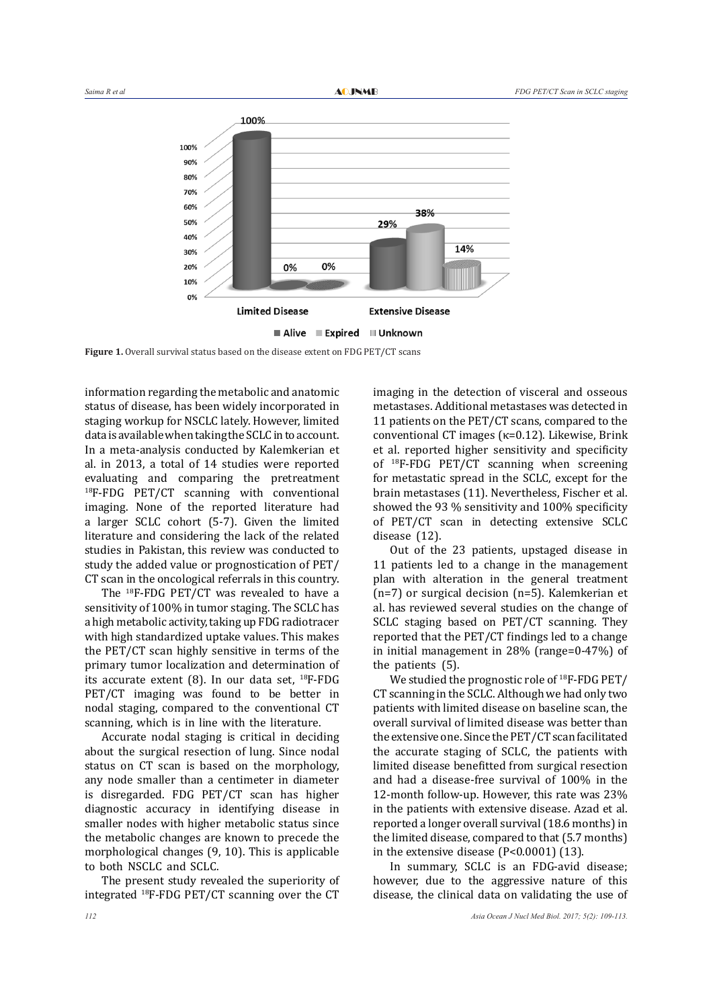

Alive Expired IIII Unknown

Figure 1. Overall survival status based on the disease extent on FDG PET/CT scans

information regarding the metabolic and anatomic status of disease, has been widely incorporated in staging workup for NSCLC lately. However, limited data is available when taking the SCLC in to account. In a meta-analysis conducted by Kalemkerian et al. in 2013, a total of 14 studies were reported evaluating and comparing the pretreatment 18F-FDG PET/CT scanning with conventional imaging. None of the reported literature had a larger SCLC cohort (5-7). Given the limited literature and considering the lack of the related studies in Pakistan, this review was conducted to study the added value or prognostication of PET/ CT scan in the oncological referrals in this country.

The 18F-FDG PET/CT was revealed to have a sensitivity of 100% in tumor staging. The SCLC has a high metabolic activity, taking up FDG radiotracer with high standardized uptake values. This makes the PET/CT scan highly sensitive in terms of the primary tumor localization and determination of its accurate extent  $(8)$ . In our data set, <sup>18</sup>F-FDG PET/CT imaging was found to be better in nodal staging, compared to the conventional CT scanning, which is in line with the literature.

Accurate nodal staging is critical in deciding about the surgical resection of lung. Since nodal status on CT scan is based on the morphology, any node smaller than a centimeter in diameter is disregarded. FDG PET/CT scan has higher diagnostic accuracy in identifying disease in smaller nodes with higher metabolic status since the metabolic changes are known to precede the morphological changes (9, 10). This is applicable to both NSCLC and SCLC.

The present study revealed the superiority of integrated 18F-FDG PET/CT scanning over the CT

imaging in the detection of visceral and osseous metastases. Additional metastases was detected in 11 patients on the PET/CT scans, compared to the conventional CT images (κ=0.12). Likewise, Brink et al. reported higher sensitivity and specificity of 18F-FDG PET/CT scanning when screening for metastatic spread in the SCLC, except for the brain metastases (11). Nevertheless, Fischer et al. showed the 93 % sensitivity and 100% specificity of PET/CT scan in detecting extensive SCLC disease (12).

Out of the 23 patients, upstaged disease in 11 patients led to a change in the management plan with alteration in the general treatment (n=7) or surgical decision (n=5). Kalemkerian et al. has reviewed several studies on the change of SCLC staging based on PET/CT scanning. They reported that the PET/CT findings led to a change in initial management in 28% (range=0-47%) of the patients (5).

We studied the prognostic role of <sup>18</sup>F-FDG PET/ CT scanning in the SCLC. Although we had only two patients with limited disease on baseline scan, the overall survival of limited disease was better than the extensive one. Since the PET/CT scan facilitated the accurate staging of SCLC, the patients with limited disease benefitted from surgical resection and had a disease-free survival of 100% in the 12-month follow-up. However, this rate was 23% in the patients with extensive disease. Azad et al. reported a longer overall survival (18.6 months) in the limited disease, compared to that (5.7 months) in the extensive disease (P<0.0001) (13).

In summary, SCLC is an FDG-avid disease; however, due to the aggressive nature of this disease, the clinical data on validating the use of